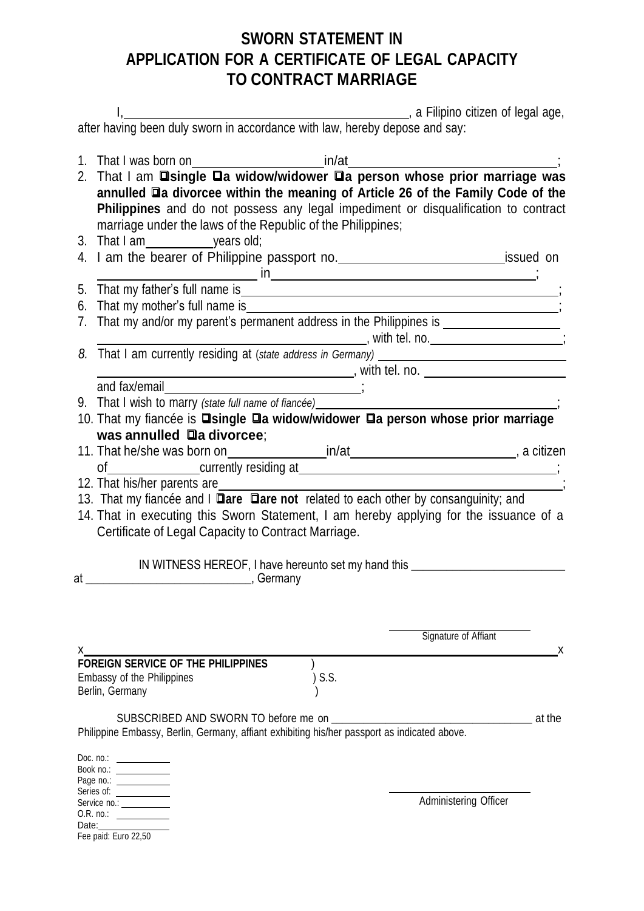## **SWORN STATEMENT IN APPLICATION FOR A CERTIFICATE OF LEGAL CAPACITY TO CONTRACT MARRIAGE**

|       | That I was born on 1. That I was born on 1. That I was born on 1. That I am <b>I single Ua widow/widower Ua person whose prior marriage was</b>     |                       |  |  |  |
|-------|-----------------------------------------------------------------------------------------------------------------------------------------------------|-----------------------|--|--|--|
|       |                                                                                                                                                     |                       |  |  |  |
|       | annulled <b>Qa divorcee within the meaning of Article 26 of the Family Code of the</b>                                                              |                       |  |  |  |
|       | Philippines and do not possess any legal impediment or disqualification to contract                                                                 |                       |  |  |  |
|       | marriage under the laws of the Republic of the Philippines;                                                                                         |                       |  |  |  |
|       |                                                                                                                                                     |                       |  |  |  |
|       |                                                                                                                                                     |                       |  |  |  |
|       |                                                                                                                                                     |                       |  |  |  |
|       |                                                                                                                                                     |                       |  |  |  |
|       |                                                                                                                                                     |                       |  |  |  |
|       |                                                                                                                                                     |                       |  |  |  |
|       |                                                                                                                                                     |                       |  |  |  |
|       |                                                                                                                                                     |                       |  |  |  |
|       | and fax/email                                                                                                                                       |                       |  |  |  |
|       |                                                                                                                                                     |                       |  |  |  |
|       | 9. That I wish to marry (state full name of fiancée) _____<br>10. That my fiancée is <b>Dsingle Da widow/widower Da person whose prior marriage</b> |                       |  |  |  |
|       | was annulled a divorcee;                                                                                                                            |                       |  |  |  |
|       |                                                                                                                                                     |                       |  |  |  |
|       | of contract currently residing at the contract of contract currently residing at                                                                    |                       |  |  |  |
|       |                                                                                                                                                     |                       |  |  |  |
|       | 13. That my fiancée and I <b>Dare Dare not</b> related to each other by consanguinity; and                                                          |                       |  |  |  |
|       | 14. That in executing this Sworn Statement, I am hereby applying for the issuance of a                                                              |                       |  |  |  |
|       | Certificate of Legal Capacity to Contract Marriage.                                                                                                 |                       |  |  |  |
|       |                                                                                                                                                     |                       |  |  |  |
|       | IN WITNESS HEREOF, I have hereunto set my hand this ____________________________                                                                    |                       |  |  |  |
| at _  | <b>Community</b> , Germany                                                                                                                          |                       |  |  |  |
|       |                                                                                                                                                     |                       |  |  |  |
|       |                                                                                                                                                     |                       |  |  |  |
|       |                                                                                                                                                     | Signature of Affiant  |  |  |  |
| X.    |                                                                                                                                                     | x                     |  |  |  |
|       | <b>FOREIGN SERVICE OF THE PHILIPPINES</b>                                                                                                           |                       |  |  |  |
|       | S.S.<br>Embassy of the Philippines                                                                                                                  |                       |  |  |  |
|       | Berlin, Germany                                                                                                                                     |                       |  |  |  |
|       |                                                                                                                                                     | at the                |  |  |  |
|       | Philippine Embassy, Berlin, Germany, affiant exhibiting his/her passport as indicated above.                                                        |                       |  |  |  |
|       |                                                                                                                                                     |                       |  |  |  |
|       | Doc. no.:                                                                                                                                           |                       |  |  |  |
|       | Book no.: ____________<br>Page no.: ____________                                                                                                    |                       |  |  |  |
|       | Series of:                                                                                                                                          |                       |  |  |  |
|       | Service no.: ___________                                                                                                                            | Administering Officer |  |  |  |
| Date: |                                                                                                                                                     |                       |  |  |  |

Fee paid: Euro 22,50